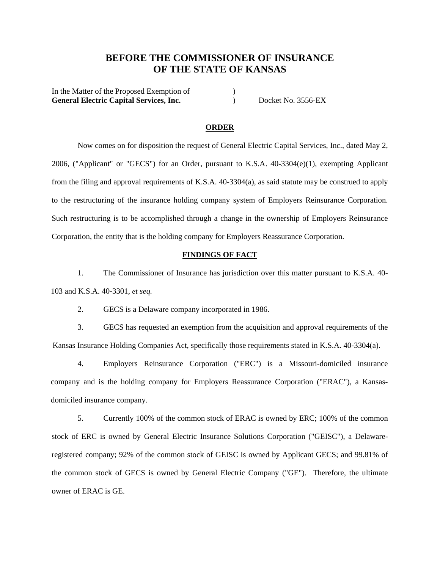# **BEFORE THE COMMISSIONER OF INSURANCE OF THE STATE OF KANSAS**

In the Matter of the Proposed Exemption of  $\qquad \qquad$  ) General Electric Capital Services, Inc. (a) Docket No. 3556-EX

#### **ORDER**

Now comes on for disposition the request of General Electric Capital Services, Inc., dated May 2, 2006, ("Applicant" or "GECS") for an Order, pursuant to K.S.A. 40-3304(e)(1), exempting Applicant from the filing and approval requirements of K.S.A. 40-3304(a), as said statute may be construed to apply to the restructuring of the insurance holding company system of Employers Reinsurance Corporation. Such restructuring is to be accomplished through a change in the ownership of Employers Reinsurance Corporation, the entity that is the holding company for Employers Reassurance Corporation.

### **FINDINGS OF FACT**

1. The Commissioner of Insurance has jurisdiction over this matter pursuant to K.S.A. 40- 103 and K.S.A. 40-3301, *et seq.*

2. GECS is a Delaware company incorporated in 1986.

3. GECS has requested an exemption from the acquisition and approval requirements of the Kansas Insurance Holding Companies Act, specifically those requirements stated in K.S.A. 40-3304(a).

 4. Employers Reinsurance Corporation ("ERC") is a Missouri-domiciled insurance company and is the holding company for Employers Reassurance Corporation ("ERAC"), a Kansasdomiciled insurance company.

 5. Currently 100% of the common stock of ERAC is owned by ERC; 100% of the common stock of ERC is owned by General Electric Insurance Solutions Corporation ("GEISC"), a Delawareregistered company; 92% of the common stock of GEISC is owned by Applicant GECS; and 99.81% of the common stock of GECS is owned by General Electric Company ("GE"). Therefore, the ultimate owner of ERAC is GE.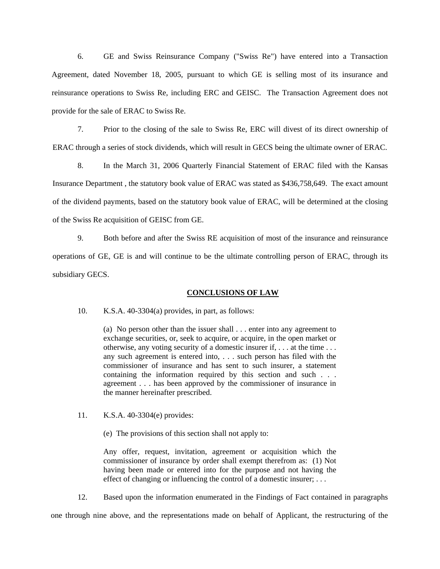6. GE and Swiss Reinsurance Company ("Swiss Re") have entered into a Transaction Agreement, dated November 18, 2005, pursuant to which GE is selling most of its insurance and reinsurance operations to Swiss Re, including ERC and GEISC. The Transaction Agreement does not provide for the sale of ERAC to Swiss Re.

 7. Prior to the closing of the sale to Swiss Re, ERC will divest of its direct ownership of ERAC through a series of stock dividends, which will result in GECS being the ultimate owner of ERAC.

 8. In the March 31, 2006 Quarterly Financial Statement of ERAC filed with the Kansas Insurance Department , the statutory book value of ERAC was stated as \$436,758,649. The exact amount of the dividend payments, based on the statutory book value of ERAC, will be determined at the closing of the Swiss Re acquisition of GEISC from GE.

 9. Both before and after the Swiss RE acquisition of most of the insurance and reinsurance operations of GE, GE is and will continue to be the ultimate controlling person of ERAC, through its subsidiary GECS.

#### **CONCLUSIONS OF LAW**

10. K.S.A. 40-3304(a) provides, in part, as follows:

(a) No person other than the issuer shall . . . enter into any agreement to exchange securities, or, seek to acquire, or acquire, in the open market or otherwise, any voting security of a domestic insurer if, . . . at the time . . . any such agreement is entered into, . . . such person has filed with the commissioner of insurance and has sent to such insurer, a statement containing the information required by this section and such . . . agreement . . . has been approved by the commissioner of insurance in the manner hereinafter prescribed.

11. K.S.A. 40-3304(e) provides:

(e) The provisions of this section shall not apply to:

Any offer, request, invitation, agreement or acquisition which the commissioner of insurance by order shall exempt therefrom as: (1) Not having been made or entered into for the purpose and not having the effect of changing or influencing the control of a domestic insurer; ...

12. Based upon the information enumerated in the Findings of Fact contained in paragraphs

one through nine above, and the representations made on behalf of Applicant, the restructuring of the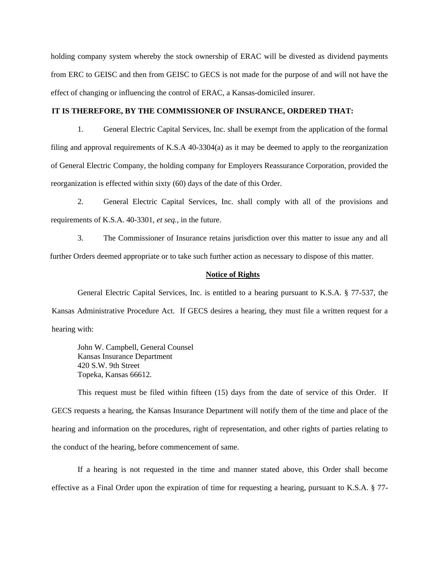holding company system whereby the stock ownership of ERAC will be divested as dividend payments from ERC to GEISC and then from GEISC to GECS is not made for the purpose of and will not have the effect of changing or influencing the control of ERAC, a Kansas-domiciled insurer.

### **IT IS THEREFORE, BY THE COMMISSIONER OF INSURANCE, ORDERED THAT:**

1. General Electric Capital Services, Inc. shall be exempt from the application of the formal filing and approval requirements of K.S.A 40-3304(a) as it may be deemed to apply to the reorganization of General Electric Company, the holding company for Employers Reassurance Corporation, provided the reorganization is effected within sixty (60) days of the date of this Order.

2. General Electric Capital Services, Inc. shall comply with all of the provisions and requirements of K.S.A. 40-3301, *et seq.,* in the future.

3. The Commissioner of Insurance retains jurisdiction over this matter to issue any and all further Orders deemed appropriate or to take such further action as necessary to dispose of this matter.

#### **Notice of Rights**

 General Electric Capital Services, Inc. is entitled to a hearing pursuant to K.S.A. § 77-537, the Kansas Administrative Procedure Act. If GECS desires a hearing, they must file a written request for a hearing with:

John W. Campbell, General Counsel Kansas Insurance Department 420 S.W. 9th Street Topeka, Kansas 66612.

 This request must be filed within fifteen (15) days from the date of service of this Order. If GECS requests a hearing, the Kansas Insurance Department will notify them of the time and place of the hearing and information on the procedures, right of representation, and other rights of parties relating to the conduct of the hearing, before commencement of same.

 If a hearing is not requested in the time and manner stated above, this Order shall become effective as a Final Order upon the expiration of time for requesting a hearing, pursuant to K.S.A. § 77